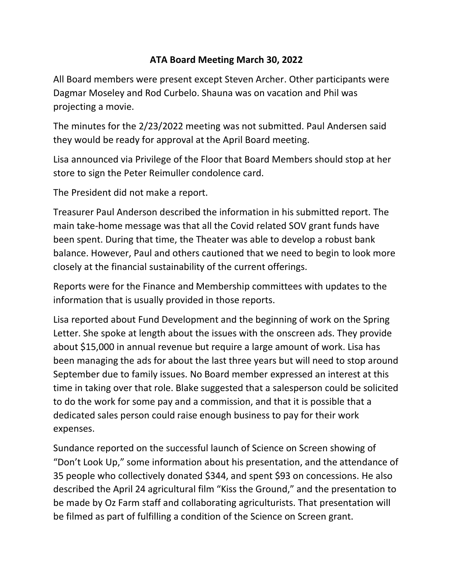## **ATA Board Meeting March 30, 2022**

All Board members were present except Steven Archer. Other participants were Dagmar Moseley and Rod Curbelo. Shauna was on vacation and Phil was projecting a movie.

The minutes for the 2/23/2022 meeting was not submitted. Paul Andersen said they would be ready for approval at the April Board meeting.

Lisa announced via Privilege of the Floor that Board Members should stop at her store to sign the Peter Reimuller condolence card.

The President did not make a report.

Treasurer Paul Anderson described the information in his submitted report. The main take-home message was that all the Covid related SOV grant funds have been spent. During that time, the Theater was able to develop a robust bank balance. However, Paul and others cautioned that we need to begin to look more closely at the financial sustainability of the current offerings.

Reports were for the Finance and Membership committees with updates to the information that is usually provided in those reports.

Lisa reported about Fund Development and the beginning of work on the Spring Letter. She spoke at length about the issues with the onscreen ads. They provide about \$15,000 in annual revenue but require a large amount of work. Lisa has been managing the ads for about the last three years but will need to stop around September due to family issues. No Board member expressed an interest at this time in taking over that role. Blake suggested that a salesperson could be solicited to do the work for some pay and a commission, and that it is possible that a dedicated sales person could raise enough business to pay for their work expenses.

Sundance reported on the successful launch of Science on Screen showing of "Don't Look Up," some information about his presentation, and the attendance of 35 people who collectively donated \$344, and spent \$93 on concessions. He also described the April 24 agricultural film "Kiss the Ground," and the presentation to be made by Oz Farm staff and collaborating agriculturists. That presentation will be filmed as part of fulfilling a condition of the Science on Screen grant.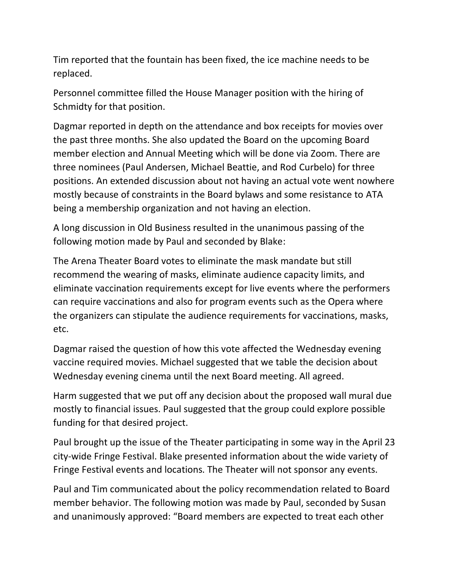Tim reported that the fountain has been fixed, the ice machine needs to be replaced.

Personnel committee filled the House Manager position with the hiring of Schmidty for that position.

Dagmar reported in depth on the attendance and box receipts for movies over the past three months. She also updated the Board on the upcoming Board member election and Annual Meeting which will be done via Zoom. There are three nominees (Paul Andersen, Michael Beattie, and Rod Curbelo) for three positions. An extended discussion about not having an actual vote went nowhere mostly because of constraints in the Board bylaws and some resistance to ATA being a membership organization and not having an election.

A long discussion in Old Business resulted in the unanimous passing of the following motion made by Paul and seconded by Blake:

The Arena Theater Board votes to eliminate the mask mandate but still recommend the wearing of masks, eliminate audience capacity limits, and eliminate vaccination requirements except for live events where the performers can require vaccinations and also for program events such as the Opera where the organizers can stipulate the audience requirements for vaccinations, masks, etc.

Dagmar raised the question of how this vote affected the Wednesday evening vaccine required movies. Michael suggested that we table the decision about Wednesday evening cinema until the next Board meeting. All agreed.

Harm suggested that we put off any decision about the proposed wall mural due mostly to financial issues. Paul suggested that the group could explore possible funding for that desired project.

Paul brought up the issue of the Theater participating in some way in the April 23 city-wide Fringe Festival. Blake presented information about the wide variety of Fringe Festival events and locations. The Theater will not sponsor any events.

Paul and Tim communicated about the policy recommendation related to Board member behavior. The following motion was made by Paul, seconded by Susan and unanimously approved: "Board members are expected to treat each other